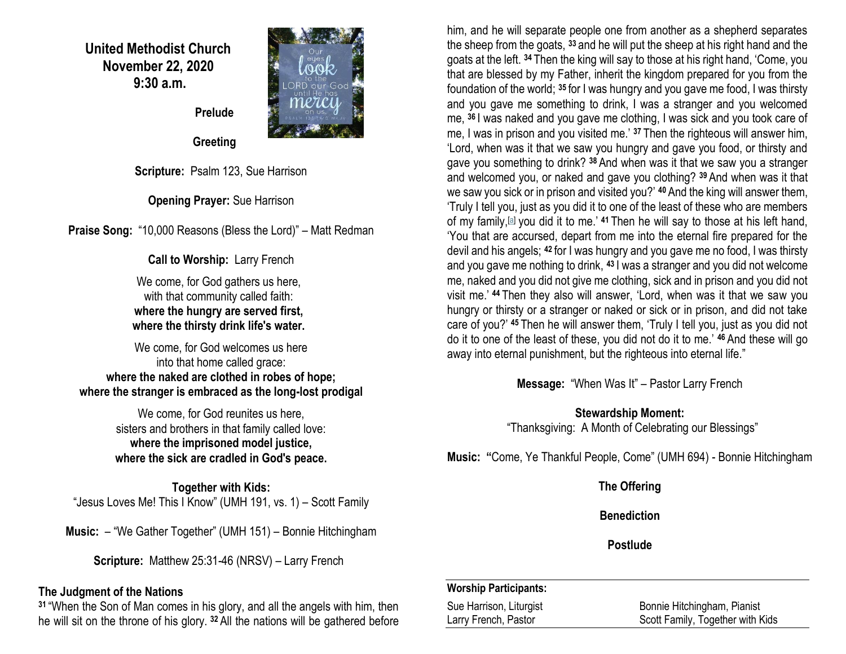**United Methodist Church November 22, 2020 9:30 a.m.**



 **Prelude** 

 **Greeting**

**Scripture:** Psalm 123, Sue Harrison

**Opening Prayer:** Sue Harrison

**Praise Song:** "10,000 Reasons (Bless the Lord)" – Matt Redman

**Call to Worship:** Larry French

We come, for God gathers us here, with that community called faith: **where the hungry are served first, where the thirsty drink life's water.**

We come, for God welcomes us here into that home called grace: **where the naked are clothed in robes of hope; where the stranger is embraced as the long-lost prodigal**

> We come, for God reunites us here. sisters and brothers in that family called love: **where the imprisoned model justice, where the sick are cradled in God's peace.**

**Together with Kids:** "Jesus Loves Me! This I Know" (UMH 191, vs. 1) – Scott Family

**Music:** – "We Gather Together" (UMH 151) – Bonnie Hitchingham

**Scripture:** Matthew 25:31-46 (NRSV) – Larry French

### **The Judgment of the Nations**

**<sup>31</sup>** "When the Son of Man comes in his glory, and all the angels with him, then he will sit on the throne of his glory. **<sup>32</sup>** All the nations will be gathered before him, and he will separate people one from another as a shepherd separates the sheep from the goats, **<sup>33</sup>** and he will put the sheep at his right hand and the goats at the left. **<sup>34</sup>** Then the king will say to those at his right hand, 'Come, you that are blessed by my Father, inherit the kingdom prepared for you from the foundation of the world; **<sup>35</sup>** for I was hungry and you gave me food, I was thirsty and you gave me something to drink, I was a stranger and you welcomed me, **<sup>36</sup>** I was naked and you gave me clothing, I was sick and you took care of me, I was in prison and you visited me.' **<sup>37</sup>** Then the righteous will answer him, 'Lord, when was it that we saw you hungry and gave you food, or thirsty and gave you something to drink? **<sup>38</sup>** And when was it that we saw you a stranger and welcomed you, or naked and gave you clothing? **<sup>39</sup>** And when was it that we saw you sick or in prison and visited you?' **<sup>40</sup>** And the king will answer them, 'Truly I tell you, just as you did it to one of the least of these who are members of my family,[\[a\]](https://www.biblegateway.com/passage/?search=Matthew+25%3A31-46&version=NRSV#fen-NRSV-24046a) you did it to me.' **<sup>41</sup>** Then he will say to those at his left hand, 'You that are accursed, depart from me into the eternal fire prepared for the devil and his angels; **<sup>42</sup>** for I was hungry and you gave me no food, I was thirsty and you gave me nothing to drink, **<sup>43</sup>** I was a stranger and you did not welcome me, naked and you did not give me clothing, sick and in prison and you did not visit me.' **<sup>44</sup>** Then they also will answer, 'Lord, when was it that we saw you hungry or thirsty or a stranger or naked or sick or in prison, and did not take care of you?' **<sup>45</sup>** Then he will answer them, 'Truly I tell you, just as you did not do it to one of the least of these, you did not do it to me.' **<sup>46</sup>** And these will go away into eternal punishment, but the righteous into eternal life."

**Message:** "When Was It" – Pastor Larry French

**Stewardship Moment:** "Thanksgiving: A Month of Celebrating our Blessings"

**Music: "**Come, Ye Thankful People, Come" (UMH 694) - Bonnie Hitchingham

**The Offering**

**Benediction**

**Postlude**

### **Worship Participants:**

Sue Harrison, Liturgist **Bonnie Hitchingham, Pianist** Bonnie Hitchingham, Pianist Larry French, Pastor **Scott Family, Together with Kids**